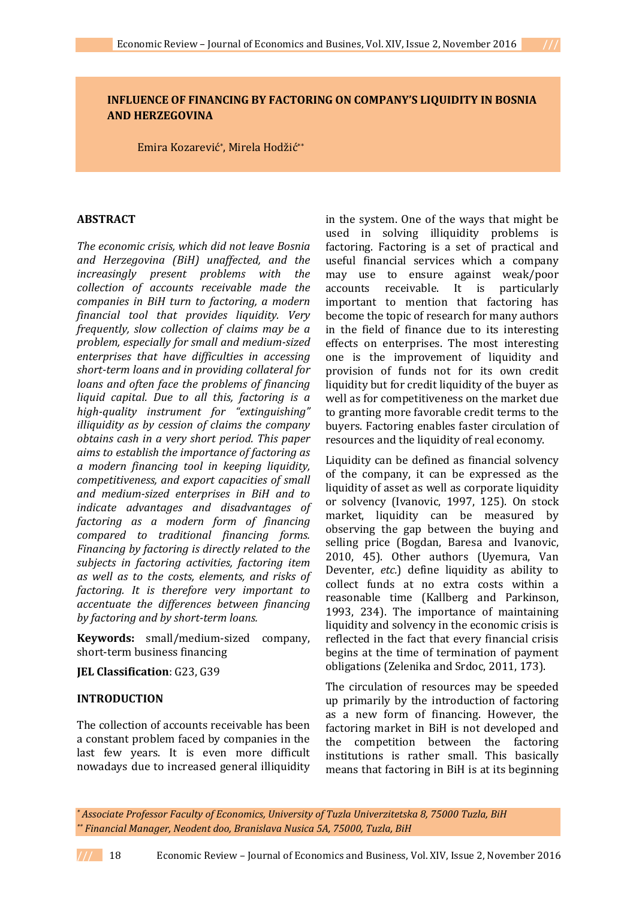# **INFLUENCE OF FINANCING BY FACTORING ON COMPANY'S LIQUIDITY IN BOSNIA AND HERZEGOVINA**

Emira Kozarević\* , Mirela Hodžić\*\*

#### **ABSTRACT**

*The economic crisis, which did not leave Bosnia and Herzegovina (BiH) unaffected, and the increasingly present problems with the collection of accounts receivable made the companies in BiH turn to factoring, a modern financial tool that provides liquidity. Very frequently, slow collection of claims may be a problem, especially for small and medium-sized enterprises that have difficulties in accessing short-term loans and in providing collateral for loans and often face the problems of financing liquid capital. Due to all this, factoring is a high-quality instrument for "extinguishing" illiquidity as by cession of claims the company obtains cash in a very short period. This paper aims to establish the importance of factoring as a modern financing tool in keeping liquidity, competitiveness, and export capacities of small and medium-sized enterprises in BiH and to indicate advantages and disadvantages of factoring as a modern form of financing compared to traditional financing forms. Financing by factoring is directly related to the subjects in factoring activities, factoring item as well as to the costs, elements, and risks of factoring. It is therefore very important to accentuate the differences between financing by factoring and by short-term loans.*

**Keywords:** small/medium-sized company, short-term business financing

**JEL Classification**: G23, G39

## **INTRODUCTION**

The collection of accounts receivable has been a constant problem faced by companies in the last few years. It is even more difficult nowadays due to increased general illiquidity

in the system. One of the ways that might be used in solving illiquidity problems is factoring. Factoring is a set of practical and useful financial services which a company may use to ensure against weak/poor accounts receivable. It is particularly important to mention that factoring has become the topic of research for many authors in the field of finance due to its interesting effects on enterprises. The most interesting one is the improvement of liquidity and provision of funds not for its own credit liquidity but for credit liquidity of the buyer as well as for competitiveness on the market due to granting more favorable credit terms to the buyers. Factoring enables faster circulation of resources and the liquidity of real economy.

Liquidity can be defined as financial solvency of the company, it can be expressed as the liquidity of asset as well as corporate liquidity or solvency (Ivanovic, 1997, 125). On stock market, liquidity can be measured by observing the gap between the buying and selling price (Bogdan, Baresa and Ivanovic, 2010, 45). Other authors (Uyemura, Van Deventer, *etc.*) define liquidity as ability to collect funds at no extra costs within a reasonable time (Kallberg and Parkinson, 1993, 234). The importance of maintaining liquidity and solvency in the economic crisis is reflected in the fact that every financial crisis begins at the time of termination of payment obligations (Zelenika and Srdoc, 2011, 173).

The circulation of resources may be speeded up primarily by the introduction of factoring as a new form of financing. However, the factoring market in BiH is not developed and the competition between the factoring institutions is rather small. This basically means that factoring in BiH is at its beginning

*\* Associate Professor Faculty of Economics, University of Tuzla Univerzitetska 8, 75000 Tuzla, BiH \*\* Financial Manager, Neodent doo, Branislava Nusica 5A, 75000, Tuzla, BiH*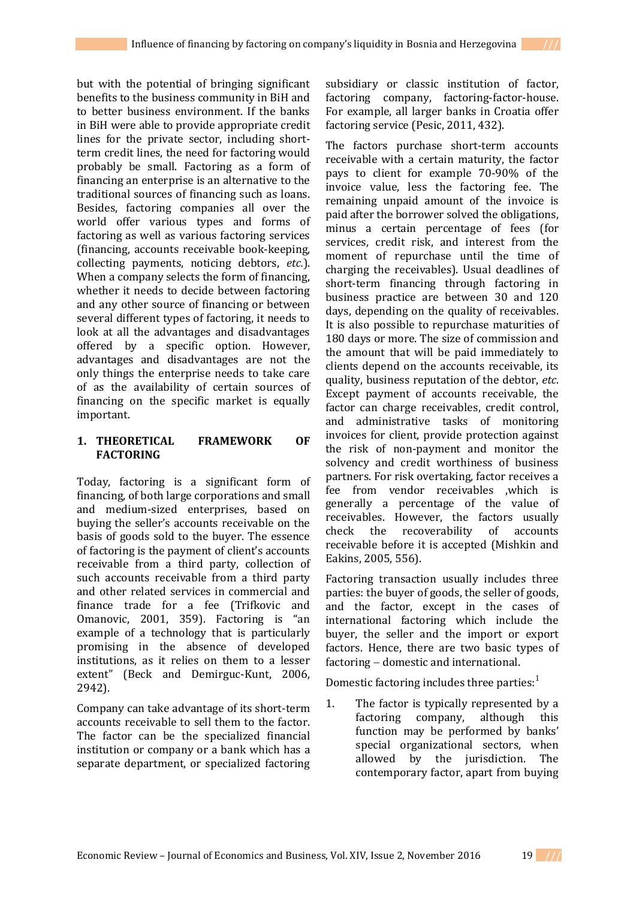to better business environment. If the banks in BiH were able to provide appropriate credit lines for the private sector, including shortterm credit lines, the need for factoring would probably be small. Factoring as a form of financing an enterprise is an alternative to the traditional sources of financing such as loans. Besides, factoring companies all over the world offer various types and forms of factoring as well as various factoring services (financing, accounts receivable book-keeping, collecting payments, noticing debtors, *etc.*). When a company selects the form of financing, whether it needs to decide between factoring and any other source of financing or between several different types of factoring, it needs to look at all the advantages and disadvantages offered by a specific option. However, advantages and disadvantages are not the only things the enterprise needs to take care of as the availability of certain sources of financing on the specific market is equally important.

# **1. THEORETICAL FRAMEWORK OF FACTORING**

Today, factoring is a significant form of financing, of both large corporations and small and medium-sized enterprises, based on buying the seller's accounts receivable on the basis of goods sold to the buyer. The essence of factoring is the payment of client's accounts receivable from a third party, collection of such accounts receivable from a third party and other related services in commercial and finance trade for a fee (Trifkovic and Omanovic, 2001, 359). Factoring is "an example of a technology that is particularly promising in the absence of developed institutions, as it relies on them to a lesser extent" (Beck and Demirguc-Kunt, 2006, 2942).

Company can take advantage of its short-term accounts receivable to sell them to the factor. The factor can be the specialized financial institution or company or a bank which has a separate department, or specialized factoring

subsidiary or classic institution of factor, factoring company, factoring-factor-house. For example, all larger banks in Croatia offer factoring service (Pesic, 2011, 432).

The factors purchase short-term accounts receivable with a certain maturity, the factor pays to client for example 70-90% of the invoice value, less the factoring fee. The remaining unpaid amount of the invoice is paid after the borrower solved the obligations, minus a certain percentage of fees (for services, credit risk, and interest from the moment of repurchase until the time of charging the receivables). Usual deadlines of short-term financing through factoring in business practice are between 30 and 120 days, depending on the quality of receivables. It is also possible to repurchase maturities of 180 days or more. The size of commission and the amount that will be paid immediately to clients depend on the accounts receivable, its quality, business reputation of the debtor, *etc*. Except payment of accounts receivable, the factor can charge receivables, credit control, and administrative tasks of monitoring invoices for client, provide protection against the risk of non-payment and monitor the solvency and credit worthiness of business partners. For risk overtaking, factor receives a fee from vendor receivables ,which is generally a percentage of the value of receivables. However, the factors usually check the recoverability of accounts receivable before it is accepted (Mishkin and Eakins, 2005, 556).

Factoring transaction usually includes three parties: the buyer of goods, the seller of goods, and the factor, except in the cases of international factoring which include the buyer, the seller and the import or export factors. Hence, there are two basic types of  $factoring - domestic$  and international.

Domestic factoring includes three parties:<sup>1</sup>

1. The factor is typically represented by a factoring company, although this function may be performed by banks' special organizational sectors, when allowed by the jurisdiction. The contemporary factor, apart from buying

Economic Review – Journal of Economics and Business, Vol. XIV, Issue 2, November 2016 19 **///**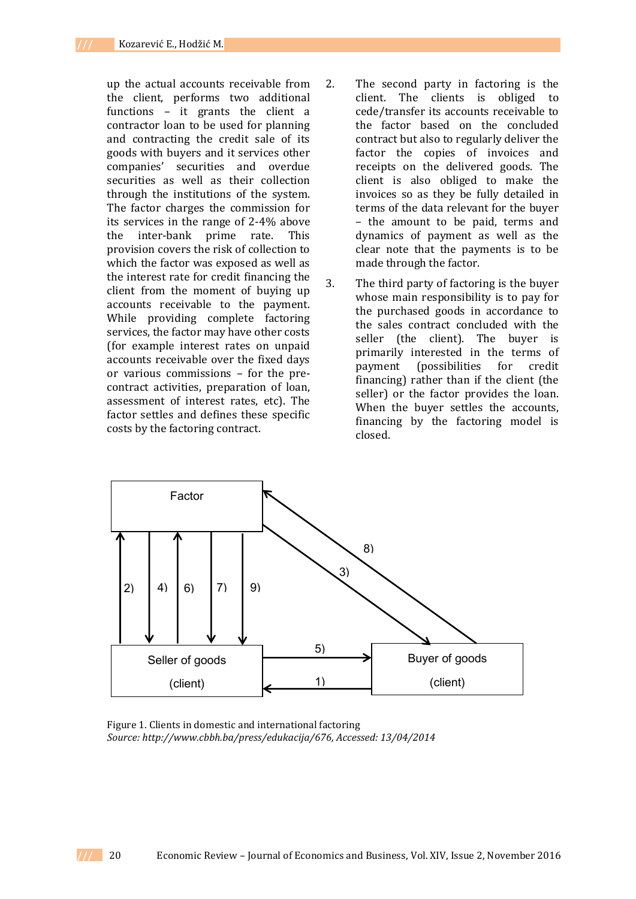up the actual accounts receivable from the client, performs two additional functions – it grants the client a contractor loan to be used for planning and contracting the credit sale of its goods with buyers and it services other companies' securities and overdue securities as well as their collection through the institutions of the system. The factor charges the commission for its services in the range of 2-4% above the inter-bank prime rate. This provision covers the risk of collection to which the factor was exposed as well as the interest rate for credit financing the client from the moment of buying up accounts receivable to the payment. While providing complete factoring services, the factor may have other costs (for example interest rates on unpaid accounts receivable over the fixed days or various commissions – for the precontract activities, preparation of loan, assessment of interest rates, etc). The factor settles and defines these specific costs by the factoring contract.

- 2. The second party in factoring is the client. The clients is obliged to cede/transfer its accounts receivable to the factor based on the concluded contract but also to regularly deliver the factor the copies of invoices and receipts on the delivered goods. The client is also obliged to make the invoices so as they be fully detailed in terms of the data relevant for the buyer – the amount to be paid, terms and dynamics of payment as well as the clear note that the payments is to be made through the factor.
- 3. The third party of factoring is the buyer whose main responsibility is to pay for the purchased goods in accordance to the sales contract concluded with the seller (the client). The buyer is primarily interested in the terms of payment (possibilities for credit financing) rather than if the client (the seller) or the factor provides the loan. When the buver settles the accounts. financing by the factoring model is closed.



Figure 1. Clients in domestic and international factoring *Source: http://www.cbbh.ba/press/edukacija/676, Accessed: 13/04/2014*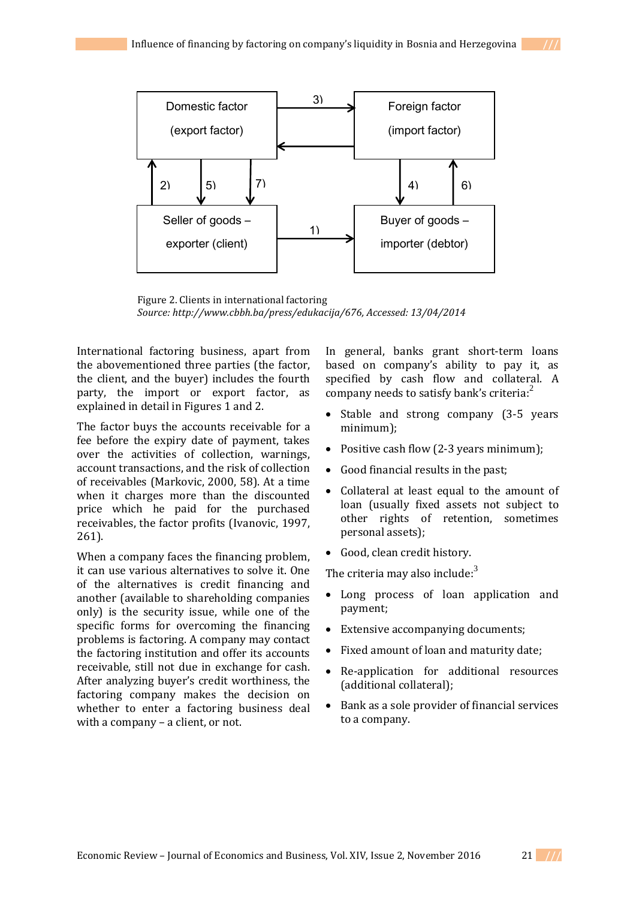

Figure 2. Clients in international factoring *Source: http://www.cbbh.ba/press/edukacija/676, Accessed: 13/04/2014*

International factoring business, apart from the abovementioned three parties (the factor, the client, and the buyer) includes the fourth party, the import or export factor, as explained in detail in Figures 1 and 2.

The factor buys the accounts receivable for a fee before the expiry date of payment, takes over the activities of collection, warnings, account transactions, and the risk of collection of receivables (Markovic, 2000, 58). At a time when it charges more than the discounted price which he paid for the purchased receivables, the factor profits (Ivanovic, 1997, 261).

When a company faces the financing problem, it can use various alternatives to solve it. One of the alternatives is credit financing and another (available to shareholding companies only) is the security issue, while one of the specific forms for overcoming the financing problems is factoring. A company may contact the factoring institution and offer its accounts receivable, still not due in exchange for cash. After analyzing buyer's credit worthiness, the factoring company makes the decision on whether to enter a factoring business deal with a company – a client, or not.

In general, banks grant short-term loans based on company's ability to pay it, as specified by cash flow and collateral. A company needs to satisfy bank's criteria: $2^2$ 

- Stable and strong company (3-5 years) minimum);
- Positive cash flow (2-3 years minimum);
- Good financial results in the past;
- Collateral at least equal to the amount of loan (usually fixed assets not subject to other rights of retention, sometimes personal assets);
- Good, clean credit history.

The criteria may also include:<sup>3</sup>

- Long process of loan application and payment;
- Extensive accompanying documents;
- Fixed amount of loan and maturity date;
- Re-application for additional resources (additional collateral);
- Bank as a sole provider of financial services to a company.

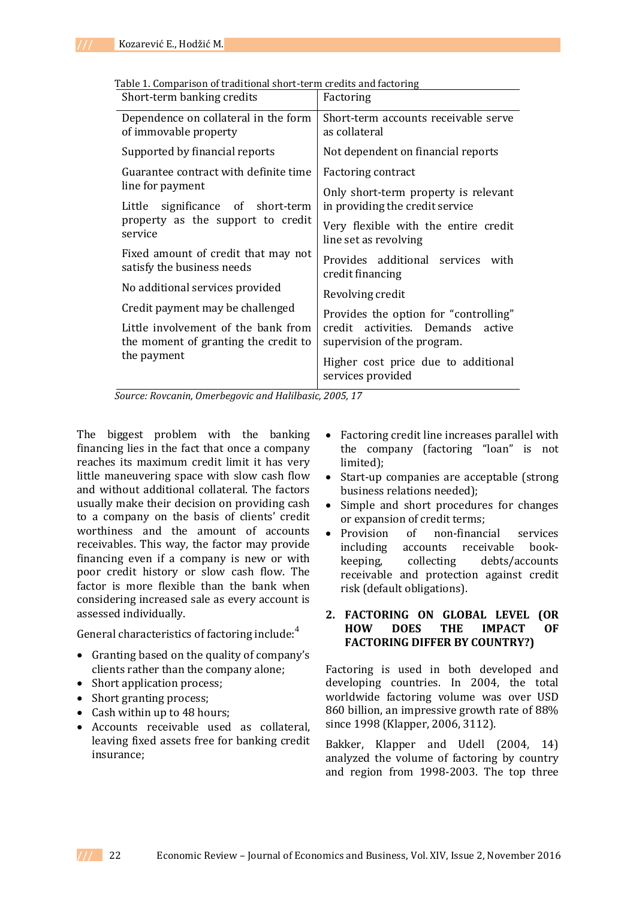| Table 1. Comparison of traditional short-term credits and factoring |                                           |
|---------------------------------------------------------------------|-------------------------------------------|
| Chaidh taire han bho ann an Atha                                    | $\Gamma$ . The set of the set of $\Gamma$ |

| Factoring                                                              |  |  |
|------------------------------------------------------------------------|--|--|
| Short-term accounts receivable serve<br>as collateral                  |  |  |
| Not dependent on financial reports                                     |  |  |
| <b>Factoring contract</b>                                              |  |  |
| Only short-term property is relevant                                   |  |  |
| in providing the credit service                                        |  |  |
| Very flexible with the entire credit<br>line set as revolving          |  |  |
| Provides additional services with<br>credit financing                  |  |  |
| Revolving credit                                                       |  |  |
| Provides the option for "controlling"                                  |  |  |
| activities. Demands<br>credit<br>active<br>supervision of the program. |  |  |
| Higher cost price due to additional<br>services provided               |  |  |
|                                                                        |  |  |

*Source: Rovcanin, Omerbegovic and Halilbasic, 2005, 17*

The biggest problem with the banking financing lies in the fact that once a company reaches its maximum credit limit it has very little maneuvering space with slow cash flow and without additional collateral. The factors usually make their decision on providing cash to a company on the basis of clients' credit worthiness and the amount of accounts receivables. This way, the factor may provide financing even if a company is new or with poor credit history or slow cash flow. The factor is more flexible than the bank when considering increased sale as every account is assessed individually.

General characteristics of factoring include:<sup>4</sup>

- Granting based on the quality of company's clients rather than the company alone;
- Short application process;
- Short granting process;
- Cash within up to 48 hours;
- Accounts receivable used as collateral, leaving fixed assets free for banking credit insurance;
- Factoring credit line increases parallel with the company (factoring "loan" is not limited);
- Start-up companies are acceptable (strong business relations needed);
- Simple and short procedures for changes or expansion of credit terms;
- Provision of non-financial services including accounts receivable bookkeeping, collecting debts/accounts receivable and protection against credit risk (default obligations).

## **2. FACTORING ON GLOBAL LEVEL (OR HOW DOES THE IMPACT OF FACTORING DIFFER BY COUNTRY?)**

Factoring is used in both developed and developing countries. In 2004, the total worldwide factoring volume was over USD 860 billion, an impressive growth rate of 88% since 1998 (Klapper, 2006, 3112).

Bakker, Klapper and Udell (2004, 14) analyzed the volume of factoring by country and region from 1998-2003. The top three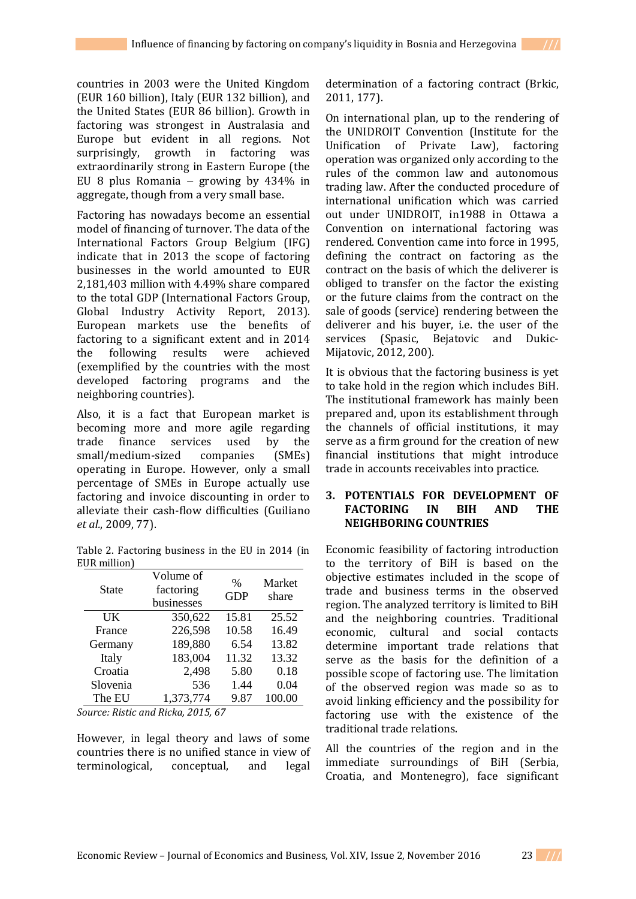countries in 2003 were the United Kingdom (EUR 160 billion), Italy (EUR 132 billion), and the United States (EUR 86 billion). Growth in factoring was strongest in Australasia and Europe but evident in all regions. Not surprisingly, growth in factoring was extraordinarily strong in Eastern Europe (the EU 8 plus Romania  $-$  growing by 434% in aggregate, though from a very small base.

Factoring has nowadays become an essential model of financing of turnover. The data of the International Factors Group Belgium (IFG) indicate that in 2013 the scope of factoring businesses in the world amounted to EUR 2,181,403 million with 4.49% share compared to the total GDP (International Factors Group, Global Industry Activity Report, 2013). European markets use the benefits of factoring to a significant extent and in 2014 the following results were achieved (exemplified by the countries with the most developed factoring programs and the neighboring countries).

Also, it is a fact that European market is becoming more and more agile regarding trade finance services used by the small/medium-sized companies (SMEs) operating in Europe. However, only a small percentage of SMEs in Europe actually use factoring and invoice discounting in order to alleviate their cash-flow difficulties (Guiliano *et al.*, 2009, 77).

Table 2. Factoring business in the EU in 2014 (in EUR million)

| State    | Volume of<br>factoring<br>businesses | $\%$<br><b>GDP</b> | Market<br>share |
|----------|--------------------------------------|--------------------|-----------------|
| UK       | 350,622                              | 15.81              | 25.52           |
| France   | 226,598                              | 10.58              | 16.49           |
| Germany  | 189,880                              | 6.54               | 13.82           |
| Italy    | 183,004                              | 11.32              | 13.32           |
| Croatia  | 2,498                                | 5.80               | 0.18            |
| Slovenia | 536                                  | 1.44               | 0.04            |
| The EU   | 1,373,774                            | 9.87               | 100.00          |

*Source: Ristic and Ricka, 2015, 67*

However, in legal theory and laws of some countries there is no unified stance in view of terminological, conceptual, and legal

determination of a factoring contract (Brkic, 2011, 177).

On international plan, up to the rendering of the UNIDROIT Convention (Institute for the Unification of Private Law), factoring operation was organized only according to the rules of the common law and autonomous trading law. After the conducted procedure of international unification which was carried out under UNIDROIT, in1988 in Ottawa a Convention on international factoring was rendered. Convention came into force in 1995, defining the contract on factoring as the contract on the basis of which the deliverer is obliged to transfer on the factor the existing or the future claims from the contract on the sale of goods (service) rendering between the deliverer and his buyer, i.e. the user of the services (Spasic, Bejatovic and Dukic-Mijatovic, 2012, 200).

It is obvious that the factoring business is yet to take hold in the region which includes BiH. The institutional framework has mainly been prepared and, upon its establishment through the channels of official institutions, it may serve as a firm ground for the creation of new financial institutions that might introduce trade in accounts receivables into practice.

### **3. POTENTIALS FOR DEVELOPMENT OF FACTORING IN BIH AND THE NEIGHBORING COUNTRIES**

Economic feasibility of factoring introduction to the territory of BiH is based on the objective estimates included in the scope of trade and business terms in the observed region. The analyzed territory is limited to BiH and the neighboring countries. Traditional economic, cultural and social contacts determine important trade relations that serve as the basis for the definition of a possible scope of factoring use. The limitation of the observed region was made so as to avoid linking efficiency and the possibility for factoring use with the existence of the traditional trade relations.

All the countries of the region and in the immediate surroundings of BiH (Serbia, Croatia, and Montenegro), face significant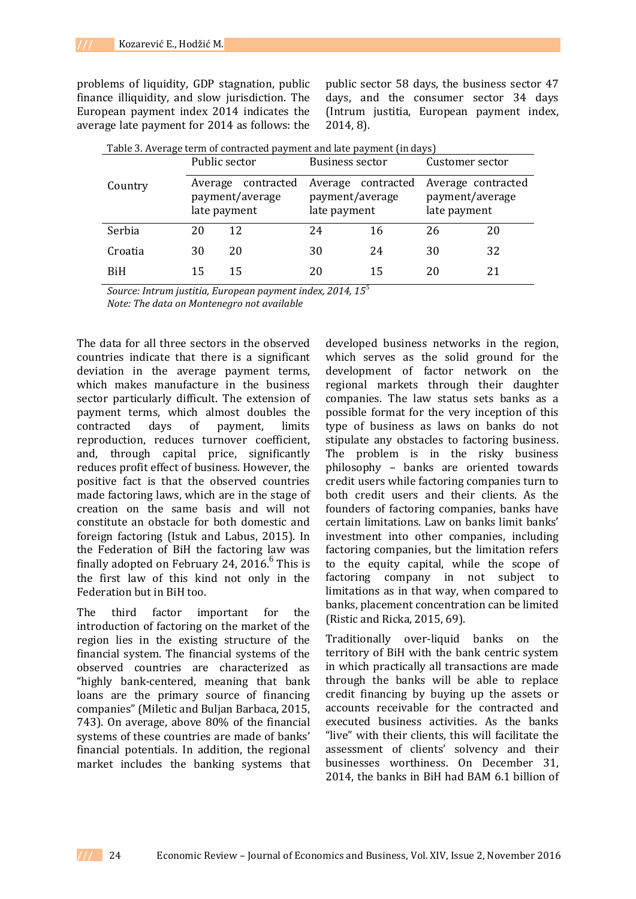problems of liquidity, GDP stagnation, public finance illiquidity, and slow jurisdiction. The European payment index 2014 indicates the average late payment for 2014 as follows: the public sector 58 days, the business sector 47 days, and the consumer sector 34 days (Intrum justitia, European payment index, 2014, 8).

| Table 3. Average term of contracted payment and late payment (in days) |               |                                       |                                                       |    |                                                       |    |  |
|------------------------------------------------------------------------|---------------|---------------------------------------|-------------------------------------------------------|----|-------------------------------------------------------|----|--|
|                                                                        | Public sector |                                       | Business sector                                       |    | Customer sector                                       |    |  |
| Country                                                                | late payment  | Average contracted<br>payment/average | Average contracted<br>payment/average<br>late payment |    | Average contracted<br>payment/average<br>late payment |    |  |
| Serbia                                                                 | 20            | 12                                    | 24                                                    | 16 | 26                                                    | 20 |  |
| Croatia                                                                | 30            | 20                                    | 30                                                    | 24 | 30                                                    | 32 |  |
| <b>BiH</b>                                                             | 15            | 15                                    | 20                                                    | 15 | 20                                                    |    |  |

*Source: Intrum justitia, European payment index, 2014, 15<sup>5</sup>*

*Note: The data on Montenegro not available* 

The data for all three sectors in the observed countries indicate that there is a significant deviation in the average payment terms, which makes manufacture in the business sector particularly difficult. The extension of payment terms, which almost doubles the contracted days of payment, limits reproduction, reduces turnover coefficient, and, through capital price, significantly reduces profit effect of business. However, the positive fact is that the observed countries made factoring laws, which are in the stage of creation on the same basis and will not constitute an obstacle for both domestic and foreign factoring (Istuk and Labus, 2015). In the Federation of BiH the factoring law was finally adopted on February 24, 2016. $6$  This is the first law of this kind not only in the Federation but in BiH too.

The third factor important for the introduction of factoring on the market of the region lies in the existing structure of the financial system. The financial systems of the observed countries are characterized as "highly bank-centered, meaning that bank loans are the primary source of financing companies" (Miletic and Buljan Barbaca, 2015, 743). On average, above 80% of the financial systems of these countries are made of banks' financial potentials. In addition, the regional market includes the banking systems that

developed business networks in the region, which serves as the solid ground for the development of factor network on the regional markets through their daughter companies. The law status sets banks as a possible format for the very inception of this type of business as laws on banks do not stipulate any obstacles to factoring business. The problem is in the risky business philosophy – banks are oriented towards credit users while factoring companies turn to both credit users and their clients. As the founders of factoring companies, banks have certain limitations. Law on banks limit banks' investment into other companies, including factoring companies, but the limitation refers to the equity capital, while the scope of factoring company in not subject to limitations as in that way, when compared to banks, placement concentration can be limited (Ristic and Ricka, 2015, 69).

Traditionally over-liquid banks on the territory of BiH with the bank centric system in which practically all transactions are made through the banks will be able to replace credit financing by buying up the assets or accounts receivable for the contracted and executed business activities. As the banks "live" with their clients, this will facilitate the assessment of clients' solvency and their businesses worthiness. On December 31, 2014, the banks in BiH had BAM 6.1 billion of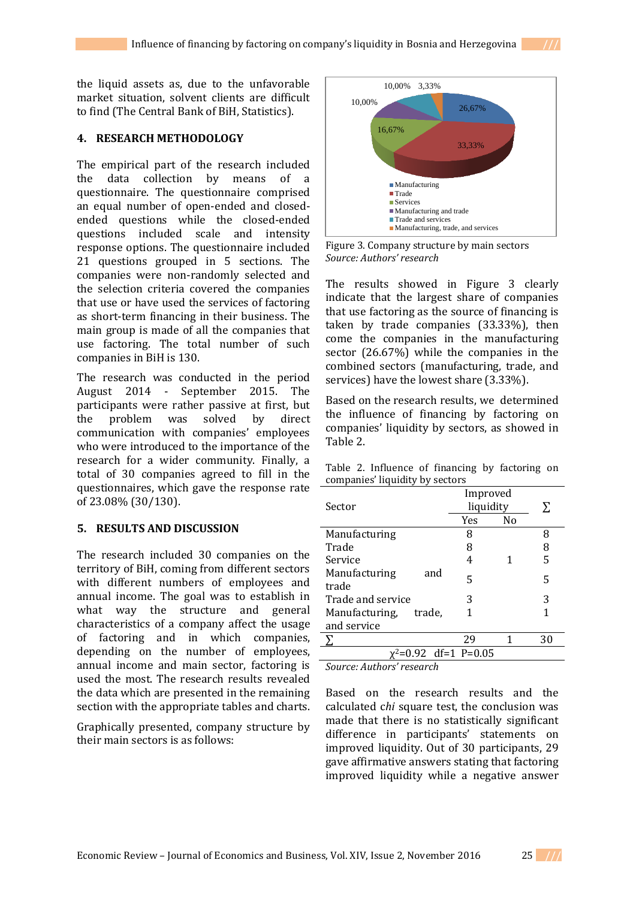the liquid assets as, due to the unfavorable market situation, solvent clients are difficult to find (The Central Bank of BiH, Statistics).

## **4. RESEARCH METHODOLOGY**

The empirical part of the research included the data collection by means of a questionnaire. The questionnaire comprised an equal number of open-ended and closedended questions while the closed-ended questions included scale and intensity response options. The questionnaire included 21 questions grouped in 5 sections. The companies were non-randomly selected and the selection criteria covered the companies that use or have used the services of factoring as short-term financing in their business. The main group is made of all the companies that use factoring. The total number of such companies in BiH is 130.

The research was conducted in the period August 2014 - September 2015. The participants were rather passive at first, but the problem was solved by direct communication with companies' employees who were introduced to the importance of the research for a wider community. Finally, a total of 30 companies agreed to fill in the questionnaires, which gave the response rate of 23.08% (30/130).

#### **5. RESULTS AND DISCUSSION**

The research included 30 companies on the territory of BiH, coming from different sectors with different numbers of employees and annual income. The goal was to establish in what way the structure and general characteristics of a company affect the usage of factoring and in which companies, depending on the number of employees, annual income and main sector, factoring is used the most. The research results revealed the data which are presented in the remaining section with the appropriate tables and charts.

Graphically presented, company structure by their main sectors is as follows:



Figure 3. Company structure by main sectors *Source: Authors' research*

The results showed in Figure 3 clearly indicate that the largest share of companies that use factoring as the source of financing is taken by trade companies (33.33%), then come the companies in the manufacturing sector (26.67%) while the companies in the combined sectors (manufacturing, trade, and services) have the lowest share (3.33%).

Based on the research results, we determined the influence of financing by factoring on companies' liquidity by sectors, as showed in Table 2.

Table 2. Influence of financing by factoring on companies' liquidity by sectors

| Sector                        | Improved<br>liquidity |    | Σ  |
|-------------------------------|-----------------------|----|----|
|                               | Yes                   | No |    |
| Manufacturing                 | 8                     |    | 8  |
| Trade                         | 8                     |    | 8  |
| Service                       | 4                     |    | 5  |
| Manufacturing<br>and<br>trade | 5                     |    | 5  |
| Trade and service             | 3                     |    | 3  |
| Manufacturing, trade,         |                       |    |    |
| and service                   |                       |    |    |
|                               | 29                    | 1  | 30 |
| $x^2=0.92$ df=1 P=0.05        |                       |    |    |

*Source: Authors' research* 

Based on the research results and the calculated c*hi* square test, the conclusion was made that there is no statistically significant difference in participants' statements on improved liquidity. Out of 30 participants, 29 gave affirmative answers stating that factoring improved liquidity while a negative answer

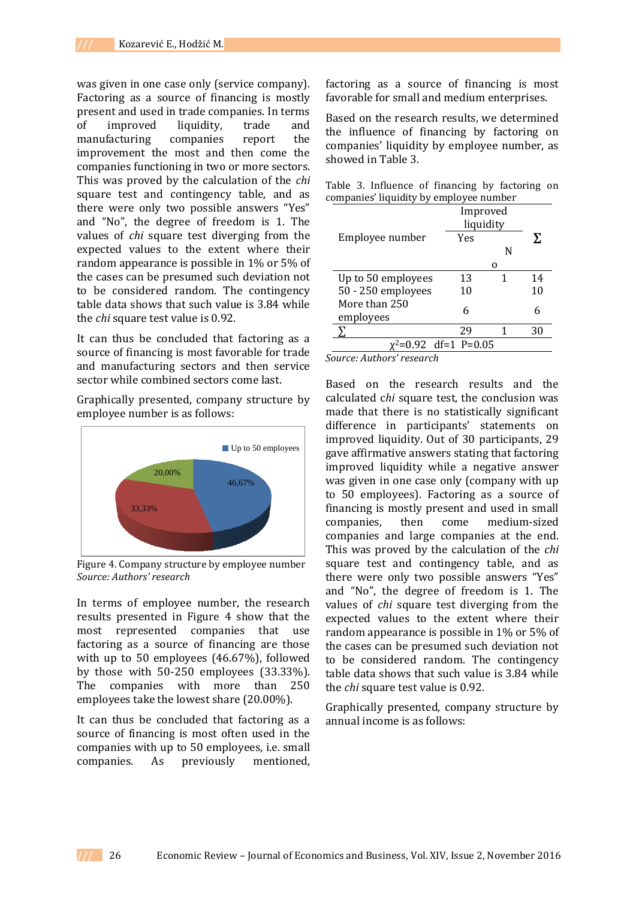was given in one case only (service company). Factoring as a source of financing is mostly present and used in trade companies. In terms of improved liquidity, trade and manufacturing companies report the improvement the most and then come the companies functioning in two or more sectors. This was proved by the calculation of the *chi* square test and contingency table, and as there were only two possible answers "Yes" and "No", the degree of freedom is 1. The values of *chi* square test diverging from the expected values to the extent where their random appearance is possible in 1% or 5% of the cases can be presumed such deviation not to be considered random. The contingency table data shows that such value is 3.84 while the *chi* square test value is 0.92.

It can thus be concluded that factoring as a source of financing is most favorable for trade and manufacturing sectors and then service sector while combined sectors come last.

Graphically presented, company structure by employee number is as follows:



Figure 4. Company structure by employee number *Source: Authors' research* 

In terms of employee number, the research results presented in Figure 4 show that the most represented companies that use factoring as a source of financing are those with up to 50 employees (46.67%), followed by those with 50-250 employees (33.33%). The companies with more than 250 employees take the lowest share (20.00%).

It can thus be concluded that factoring as a source of financing is most often used in the companies with up to 50 employees, i.e. small companies. As previously mentioned,

factoring as a source of financing is most favorable for small and medium enterprises.

Based on the research results, we determined the influence of financing by factoring on companies' liquidity by employee number, as showed in Table 3.

|  |  |                                         | Table 3. Influence of financing by factoring on |  |
|--|--|-----------------------------------------|-------------------------------------------------|--|
|  |  | companies' liquidity by employee number |                                                 |  |

|                                  | Improved<br>liquidity |   |    |
|----------------------------------|-----------------------|---|----|
| Employee number                  | Yes                   |   | У. |
|                                  |                       | N |    |
|                                  |                       |   |    |
| Up to 50 employees               | 13                    |   | 14 |
| 50 - 250 employees               | 10                    |   | 10 |
| More than 250<br>employees       | 6                     |   | 6  |
|                                  | 29                    |   | 30 |
| x <sup>2</sup> =0.92 df=1 P=0.05 |                       |   |    |

*Source: Authors' research* 

Based on the research results and the calculated c*hi* square test, the conclusion was made that there is no statistically significant difference in participants' statements on improved liquidity. Out of 30 participants, 29 gave affirmative answers stating that factoring improved liquidity while a negative answer was given in one case only (company with up to 50 employees). Factoring as a source of financing is mostly present and used in small companies, then come medium-sized companies and large companies at the end. This was proved by the calculation of the *chi* square test and contingency table, and as there were only two possible answers "Yes" and "No", the degree of freedom is 1. The values of *chi* square test diverging from the expected values to the extent where their random appearance is possible in 1% or 5% of the cases can be presumed such deviation not to be considered random. The contingency table data shows that such value is 3.84 while the *chi* square test value is 0.92.

Graphically presented, company structure by annual income is as follows: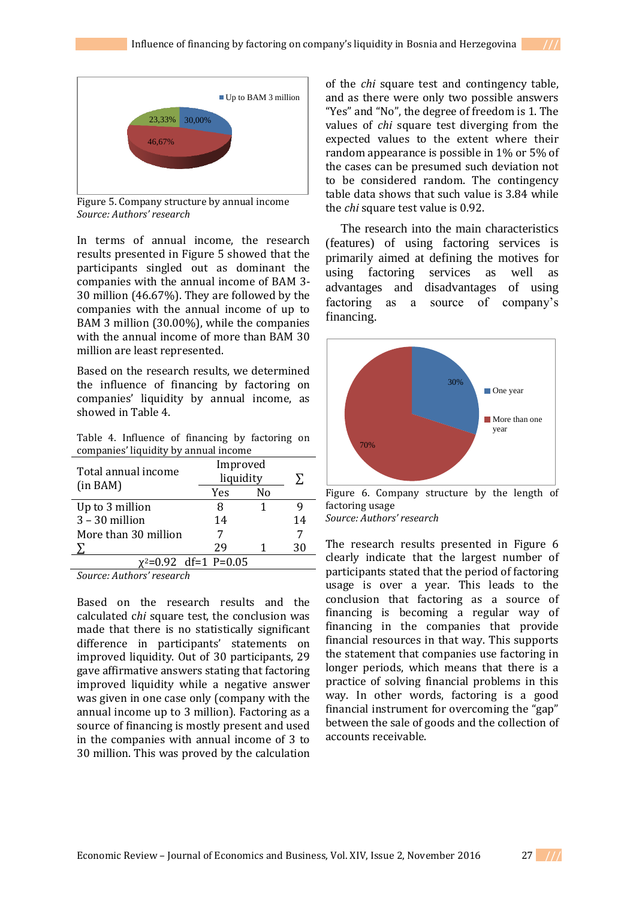

Figure 5. Company structure by annual income *Source: Authors' research* 

In terms of annual income, the research results presented in Figure 5 showed that the participants singled out as dominant the companies with the annual income of BAM 3- 30 million (46.67%). They are followed by the companies with the annual income of up to BAM 3 million (30.00%), while the companies with the annual income of more than BAM 30 million are least represented.

Based on the research results, we determined the influence of financing by factoring on companies' liquidity by annual income, as showed in Table 4.

Table 4. Influence of financing by factoring on companies' liquidity by annual income

| Total annual income        | Improved<br>liquidity | Σ. |    |
|----------------------------|-----------------------|----|----|
| (in BAM)                   | Yes                   | No |    |
| Up to 3 million            | 8                     |    |    |
| $3 - 30$ million           | 14                    |    | 14 |
| More than 30 million       |                       |    |    |
|                            | 29                    |    | 30 |
| $\chi^2$ =0.92 df=1 P=0.05 |                       |    |    |

*Source: Authors' research* 

Based on the research results and the calculated c*hi* square test, the conclusion was made that there is no statistically significant difference in participants' statements on improved liquidity. Out of 30 participants, 29 gave affirmative answers stating that factoring improved liquidity while a negative answer was given in one case only (company with the annual income up to 3 million). Factoring as a source of financing is mostly present and used in the companies with annual income of 3 to 30 million. This was proved by the calculation

of the *chi* square test and contingency table, and as there were only two possible answers "Yes" and "No", the degree of freedom is 1. The values of *chi* square test diverging from the expected values to the extent where their random appearance is possible in 1% or 5% of the cases can be presumed such deviation not to be considered random. The contingency table data shows that such value is 3.84 while the *chi* square test value is 0.92.

The research into the main characteristics (features) of using factoring services is primarily aimed at defining the motives for using factoring services as well as advantages and disadvantages of using factoring as a source of company's financing.



Figure 6. Company structure by the length of factoring usage

*Source: Authors' research* 

The research results presented in Figure 6 clearly indicate that the largest number of participants stated that the period of factoring usage is over a year. This leads to the conclusion that factoring as a source of financing is becoming a regular way of financing in the companies that provide financial resources in that way. This supports the statement that companies use factoring in longer periods, which means that there is a practice of solving financial problems in this way. In other words, factoring is a good financial instrument for overcoming the "gap" between the sale of goods and the collection of accounts receivable.

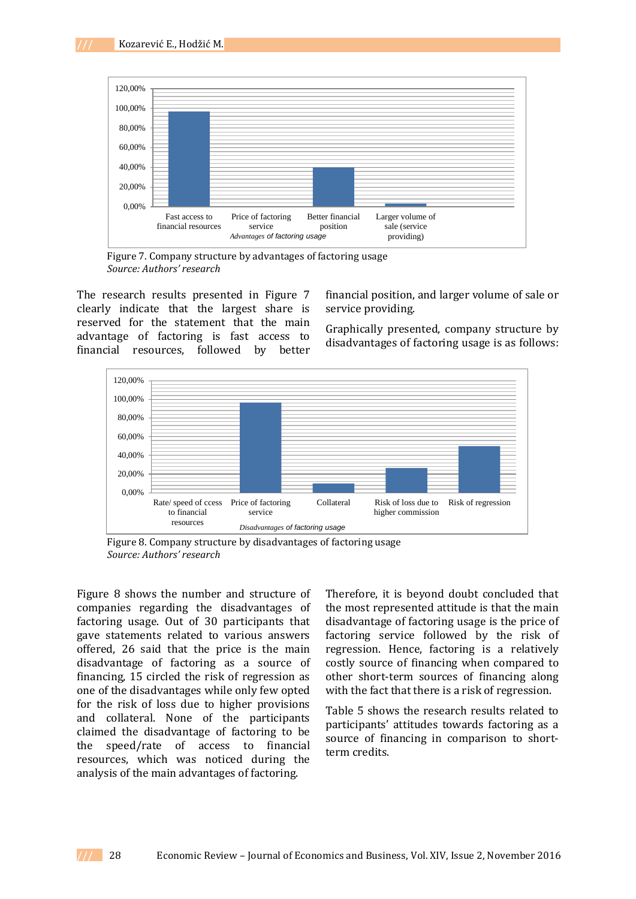

Figure 7. Company structure by advantages of factoring usage *Source: Authors' research* 

The research results presented in Figure 7 clearly indicate that the largest share is reserved for the statement that the main advantage of factoring is fast access to financial resources, followed by better

financial position, and larger volume of sale or service providing.

Graphically presented, company structure by disadvantages of factoring usage is as follows:



Figure 8. Company structure by disadvantages of factoring usage *Source: Authors' research* 

Figure 8 shows the number and structure of companies regarding the disadvantages of factoring usage. Out of 30 participants that gave statements related to various answers offered, 26 said that the price is the main disadvantage of factoring as a source of financing, 15 circled the risk of regression as one of the disadvantages while only few opted for the risk of loss due to higher provisions and collateral. None of the participants claimed the disadvantage of factoring to be the speed/rate of access to financial resources, which was noticed during the analysis of the main advantages of factoring.

Therefore, it is beyond doubt concluded that the most represented attitude is that the main disadvantage of factoring usage is the price of factoring service followed by the risk of regression. Hence, factoring is a relatively costly source of financing when compared to other short-term sources of financing along with the fact that there is a risk of regression.

Table 5 shows the research results related to participants' attitudes towards factoring as a source of financing in comparison to shortterm credits.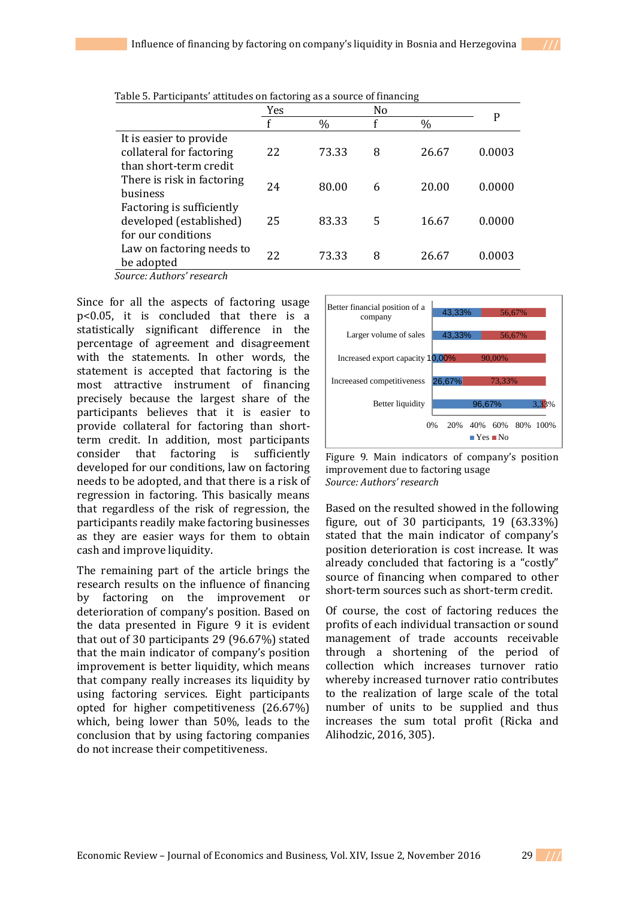|                            | Yes |       | N <sub>0</sub> |       |        |
|----------------------------|-----|-------|----------------|-------|--------|
|                            | f   | $\%$  | f              | $\%$  | P      |
| It is easier to provide    |     |       |                |       |        |
| collateral for factoring   | 22  | 73.33 | 8              | 26.67 | 0.0003 |
| than short-term credit     |     |       |                |       |        |
| There is risk in factoring | 24  | 80.00 | 6              | 20.00 | 0.0000 |
| business                   |     |       |                |       |        |
| Factoring is sufficiently  |     |       |                |       |        |
| developed (established)    | 25  | 83.33 | 5              | 16.67 | 0.0000 |
| for our conditions         |     |       |                |       |        |
| Law on factoring needs to  | 22  | 73.33 | 8              | 26.67 | 0.0003 |
| be adopted                 |     |       |                |       |        |
| Source: Authors' research  |     |       |                |       |        |

Table 5. Participants' attitudes on factoring as a source of financing

Since for all the aspects of factoring usage p<0.05, it is concluded that there is a statistically significant difference in the percentage of agreement and disagreement with the statements. In other words, the statement is accepted that factoring is the most attractive instrument of financing precisely because the largest share of the participants believes that it is easier to provide collateral for factoring than shortterm credit. In addition, most participants consider that factoring is sufficiently developed for our conditions, law on factoring needs to be adopted, and that there is a risk of regression in factoring. This basically means that regardless of the risk of regression, the participants readily make factoring businesses as they are easier ways for them to obtain cash and improve liquidity.

The remaining part of the article brings the research results on the influence of financing by factoring on the improvement or deterioration of company's position. Based on the data presented in Figure 9 it is evident that out of 30 participants 29 (96.67%) stated that the main indicator of company's position improvement is better liquidity, which means that company really increases its liquidity by using factoring services. Eight participants opted for higher competitiveness (26.67%) which, being lower than 50%, leads to the conclusion that by using factoring companies do not increase their competitiveness.



Figure 9. Main indicators of company's position improvement due to factoring usage *Source: Authors' research*

Based on the resulted showed in the following figure, out of 30 participants, 19 (63.33%) stated that the main indicator of company's position deterioration is cost increase. It was already concluded that factoring is a "costly" source of financing when compared to other short-term sources such as short-term credit.

Of course, the cost of factoring reduces the profits of each individual transaction or sound management of trade accounts receivable through a shortening of the period of collection which increases turnover ratio whereby increased turnover ratio contributes to the realization of large scale of the total number of units to be supplied and thus increases the sum total profit (Ricka and Alihodzic, 2016, 305).

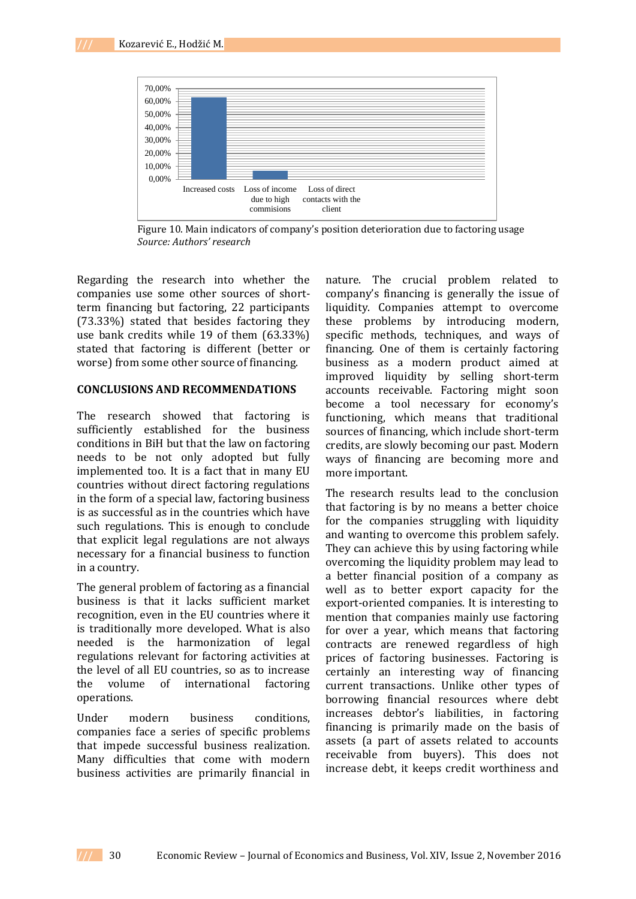

Figure 10. Main indicators of company's position deterioration due to factoring usage *Source: Authors' research* 

Regarding the research into whether the companies use some other sources of shortterm financing but factoring, 22 participants (73.33%) stated that besides factoring they use bank credits while 19 of them (63.33%) stated that factoring is different (better or worse) from some other source of financing.

#### **CONCLUSIONS AND RECOMMENDATIONS**

The research showed that factoring is sufficiently established for the business conditions in BiH but that the law on factoring needs to be not only adopted but fully implemented too. It is a fact that in many EU countries without direct factoring regulations in the form of a special law, factoring business is as successful as in the countries which have such regulations. This is enough to conclude that explicit legal regulations are not always necessary for a financial business to function in a country.

The general problem of factoring as a financial business is that it lacks sufficient market recognition, even in the EU countries where it is traditionally more developed. What is also needed is the harmonization of legal regulations relevant for factoring activities at the level of all EU countries, so as to increase the volume of international factoring operations.

Under modern business conditions, companies face a series of specific problems that impede successful business realization. Many difficulties that come with modern business activities are primarily financial in

nature. The crucial problem related to company's financing is generally the issue of liquidity. Companies attempt to overcome these problems by introducing modern, specific methods, techniques, and ways of financing. One of them is certainly factoring business as a modern product aimed at improved liquidity by selling short-term accounts receivable. Factoring might soon become a tool necessary for economy's functioning, which means that traditional sources of financing, which include short-term credits, are slowly becoming our past. Modern ways of financing are becoming more and more important.

The research results lead to the conclusion that factoring is by no means a better choice for the companies struggling with liquidity and wanting to overcome this problem safely. They can achieve this by using factoring while overcoming the liquidity problem may lead to a better financial position of a company as well as to better export capacity for the export-oriented companies. It is interesting to mention that companies mainly use factoring for over a year, which means that factoring contracts are renewed regardless of high prices of factoring businesses. Factoring is certainly an interesting way of financing current transactions. Unlike other types of borrowing financial resources where debt increases debtor's liabilities, in factoring financing is primarily made on the basis of assets (a part of assets related to accounts receivable from buyers). This does not increase debt, it keeps credit worthiness and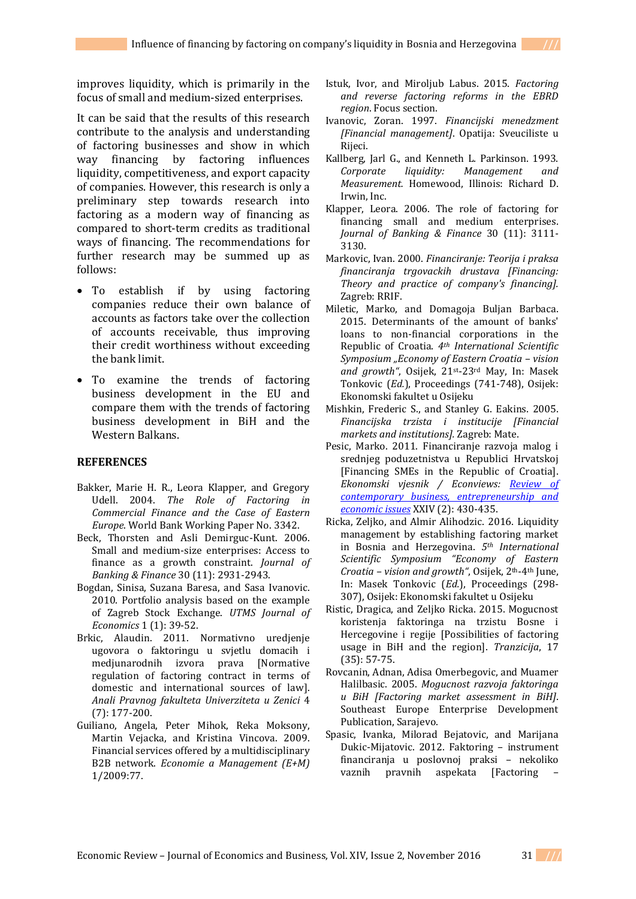improves liquidity, which is primarily in the focus of small and medium-sized enterprises.

It can be said that the results of this research contribute to the analysis and understanding of factoring businesses and show in which way financing by factoring influences liquidity, competitiveness, and export capacity of companies. However, this research is only a preliminary step towards research into factoring as a modern way of financing as compared to short-term credits as traditional ways of financing. The recommendations for further research may be summed up as follows:

- To establish if by using factoring companies reduce their own balance of accounts as factors take over the collection of accounts receivable, thus improving their credit worthiness without exceeding the bank limit.
- To examine the trends of factoring business development in the EU and compare them with the trends of factoring business development in BiH and the Western Balkans.

#### **REFERENCES**

- Bakker, Marie H. R., Leora Klapper, and Gregory Udell. 2004. *The Role of Factoring in Commercial Finance and the Case of Eastern Europe*. World Bank Working Paper No. 3342.
- Beck, Thorsten and Asli Demirguc-Kunt. 2006. Small and medium-size enterprises: Access to finance as a growth constraint. *Journal of Banking & Finance* 30 (11): 2931-2943.
- Bogdan, Sinisa, Suzana Baresa, and Sasa Ivanovic. 2010. Portfolio analysis based on the example of Zagreb Stock Exchange. *UTMS Journal of Economics* 1 (1): 39-52.
- Brkic, Alaudin. 2011. Normativno uredjenje ugovora o faktoringu u svjetlu domacih i medjunarodnih izvora prava [Normative regulation of factoring contract in terms of domestic and international sources of law]. *Anali Pravnog fakulteta Univerziteta u Zenici* 4 (7): 177-200.
- Guiliano, Angela, Peter Mihok, Reka Moksony, Martin Vejacka, and Kristina Vincova. 2009. Financial services offered by a multidisciplinary B2B network. *Economie a Management (E+M)* 1/2009:77.
- Istuk, Ivor, and Miroljub Labus. 2015. *Factoring and reverse factoring reforms in the EBRD region*. Focus section.
- Ivanovic, Zoran. 1997. *Financijski menedzment [Financial management]*. Opatija: Sveuciliste u Rijeci.
- Kallberg, Jarl G., and Kenneth L. Parkinson. 1993. *Corporate liquidity: Management and Measurement.* Homewood, Illinois: Richard D. Irwin, Inc.
- Klapper, Leora. 2006. The role of factoring for financing small and medium enterprises. *Journal of Banking & Finance* 30 (11): 3111- 3130.
- Markovic, Ivan. 2000. *Financiranje: Teorija i praksa financiranja trgovackih drustava [Financing: Theory and practice of company's financing].* Zagreb: RRIF.
- Miletic, Marko, and Domagoja Buljan Barbaca. 2015. Determinants of the amount of banks' loans to non-financial corporations in the Republic of Croatia. *4th International Scientific Symposium "Economy of Eastern Croatia – vision and growth"*, Osijek, 21st-23rd May, In: Masek Tonkovic (*Ed.*), Proceedings (741-748), Osijek: Ekonomski fakultet u Osijeku
- Mishkin, Frederic S., and Stanley G. Eakins. 2005. *Financijska trzista i institucije [Financial markets and institutions].* Zagreb: Mate.
- Pesic, Marko. 2011. Financiranje razvoja malog i srednjeg poduzetnistva u Republici Hrvatskoj [Financing SMEs in the Republic of Croatia]. *Ekonomski vjesnik / Econviews: [Review of](http://www.efos.unios.hr/ekonomski-vjesnik)  [contemporary business, entrepreneurship and](http://www.efos.unios.hr/ekonomski-vjesnik)  [economic issues](http://www.efos.unios.hr/ekonomski-vjesnik)* XXIV (2): 430-435.
- Ricka, Zeljko, and Almir Alihodzic. 2016. Liquidity management by establishing factoring market in Bosnia and Herzegovina. *5th International Scientific Symposium "Economy of Eastern Croatia – vision and growth"*, Osijek, 2th-4th June, In: Masek Tonkovic (*Ed.*), Proceedings (298- 307), Osijek: Ekonomski fakultet u Osijeku
- Ristic, Dragica, and Zeljko Ricka. 2015. Mogucnost koristenja faktoringa na trzistu Bosne i Hercegovine i regije [Possibilities of factoring usage in BiH and the region]. *Tranzicija*, 17 (35): 57-75.
- Rovcanin, Adnan, Adisa Omerbegovic, and Muamer Halilbasic. 2005. *Mogucnost razvoja faktoringa u BiH [Factoring market assessment in BiH]*. Southeast Europe Enterprise Development Publication, Sarajevo.
- Spasic, Ivanka, Milorad Bejatovic, and Marijana Dukic-Mijatovic. 2012. Faktoring – instrument financiranja u poslovnoj praksi – nekoliko vaznih pravnih aspekata [Factoring –